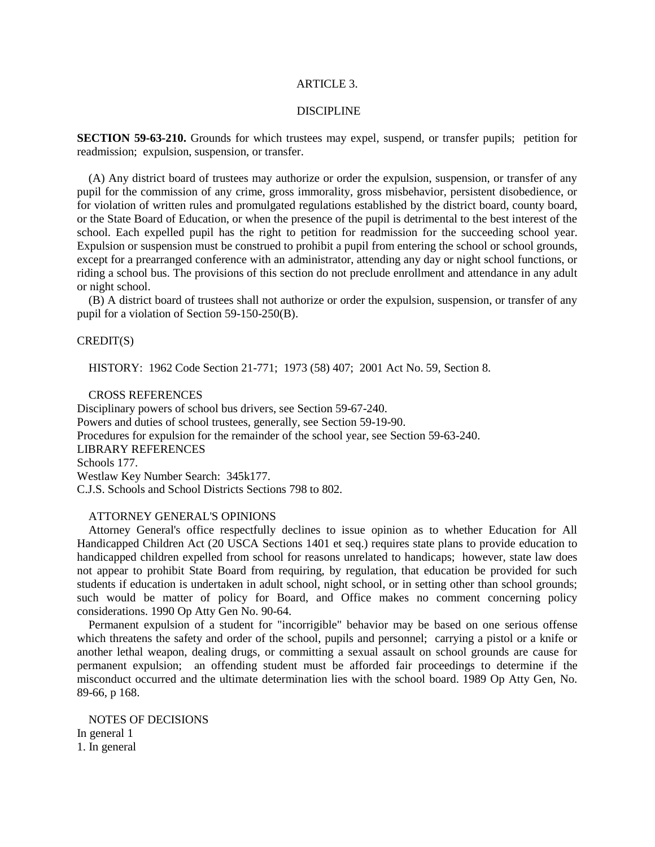## ARTICLE 3.

#### DISCIPLINE

**SECTION 59-63-210.** Grounds for which trustees may expel, suspend, or transfer pupils; petition for readmission; expulsion, suspension, or transfer.

(A) Any district board of trustees may authorize or order the expulsion, suspension, or transfer of any pupil for the commission of any crime, gross immorality, gross misbehavior, persistent disobedience, or for violation of written rules and promulgated regulations established by the district board, county board, or the State Board of Education, or when the presence of the pupil is detrimental to the best interest of the school. Each expelled pupil has the right to petition for readmission for the succeeding school year. Expulsion or suspension must be construed to prohibit a pupil from entering the school or school grounds, except for a prearranged conference with an administrator, attending any day or night school functions, or riding a school bus. The provisions of this section do not preclude enrollment and attendance in any adult or night school.

(B) A district board of trustees shall not authorize or order the expulsion, suspension, or transfer of any pupil for a violation of Section 59-150-250(B).

## CREDIT(S)

HISTORY: 1962 Code Section 21-771; 1973 (58) 407; 2001 Act No. 59, Section 8.

## CROSS REFERENCES

Disciplinary powers of school bus drivers, see Section 59-67-240. Powers and duties of school trustees, generally, see Section 59-19-90. Procedures for expulsion for the remainder of the school year, see Section 59-63-240. LIBRARY REFERENCES Schools 177. Westlaw Key Number Search: 345k177. C.J.S. Schools and School Districts Sections 798 to 802.

## ATTORNEY GENERAL'S OPINIONS

Attorney General's office respectfully declines to issue opinion as to whether Education for All Handicapped Children Act (20 USCA Sections 1401 et seq.) requires state plans to provide education to handicapped children expelled from school for reasons unrelated to handicaps; however, state law does not appear to prohibit State Board from requiring, by regulation, that education be provided for such students if education is undertaken in adult school, night school, or in setting other than school grounds; such would be matter of policy for Board, and Office makes no comment concerning policy considerations. 1990 Op Atty Gen No. 90-64.

Permanent expulsion of a student for "incorrigible" behavior may be based on one serious offense which threatens the safety and order of the school, pupils and personnel; carrying a pistol or a knife or another lethal weapon, dealing drugs, or committing a sexual assault on school grounds are cause for permanent expulsion; an offending student must be afforded fair proceedings to determine if the misconduct occurred and the ultimate determination lies with the school board. 1989 Op Atty Gen, No. 89-66, p 168.

NOTES OF DECISIONS In general 1 1. In general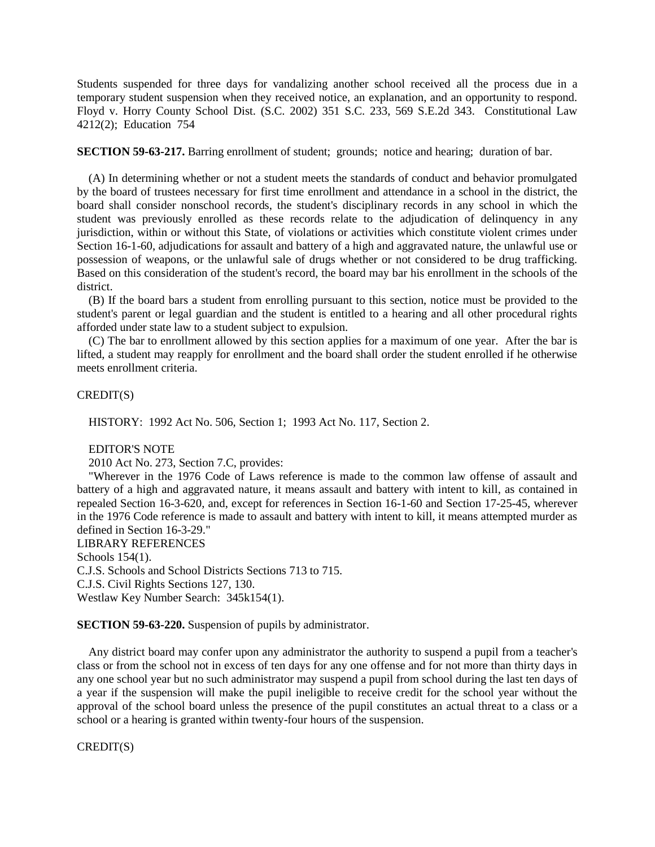Students suspended for three days for vandalizing another school received all the process due in a temporary student suspension when they received notice, an explanation, and an opportunity to respond. Floyd v. Horry County School Dist. (S.C. 2002) 351 S.C. 233, 569 S.E.2d 343. Constitutional Law 4212(2); Education 754

**SECTION 59-63-217.** Barring enrollment of student; grounds; notice and hearing; duration of bar.

(A) In determining whether or not a student meets the standards of conduct and behavior promulgated by the board of trustees necessary for first time enrollment and attendance in a school in the district, the board shall consider nonschool records, the student's disciplinary records in any school in which the student was previously enrolled as these records relate to the adjudication of delinquency in any jurisdiction, within or without this State, of violations or activities which constitute violent crimes under Section 16-1-60, adjudications for assault and battery of a high and aggravated nature, the unlawful use or possession of weapons, or the unlawful sale of drugs whether or not considered to be drug trafficking. Based on this consideration of the student's record, the board may bar his enrollment in the schools of the district.

(B) If the board bars a student from enrolling pursuant to this section, notice must be provided to the student's parent or legal guardian and the student is entitled to a hearing and all other procedural rights afforded under state law to a student subject to expulsion.

(C) The bar to enrollment allowed by this section applies for a maximum of one year. After the bar is lifted, a student may reapply for enrollment and the board shall order the student enrolled if he otherwise meets enrollment criteria.

## CREDIT(S)

HISTORY: 1992 Act No. 506, Section 1; 1993 Act No. 117, Section 2.

#### EDITOR'S NOTE

2010 Act No. 273, Section 7.C, provides:

"Wherever in the 1976 Code of Laws reference is made to the common law offense of assault and battery of a high and aggravated nature, it means assault and battery with intent to kill, as contained in repealed Section 16-3-620, and, except for references in Section 16-1-60 and Section 17-25-45, wherever in the 1976 Code reference is made to assault and battery with intent to kill, it means attempted murder as defined in Section 16-3-29."

LIBRARY REFERENCES Schools 154(1). C.J.S. Schools and School Districts Sections 713 to 715. C.J.S. Civil Rights Sections 127, 130. Westlaw Key Number Search: 345k154(1).

# **SECTION 59-63-220.** Suspension of pupils by administrator.

Any district board may confer upon any administrator the authority to suspend a pupil from a teacher's class or from the school not in excess of ten days for any one offense and for not more than thirty days in any one school year but no such administrator may suspend a pupil from school during the last ten days of a year if the suspension will make the pupil ineligible to receive credit for the school year without the approval of the school board unless the presence of the pupil constitutes an actual threat to a class or a school or a hearing is granted within twenty-four hours of the suspension.

CREDIT(S)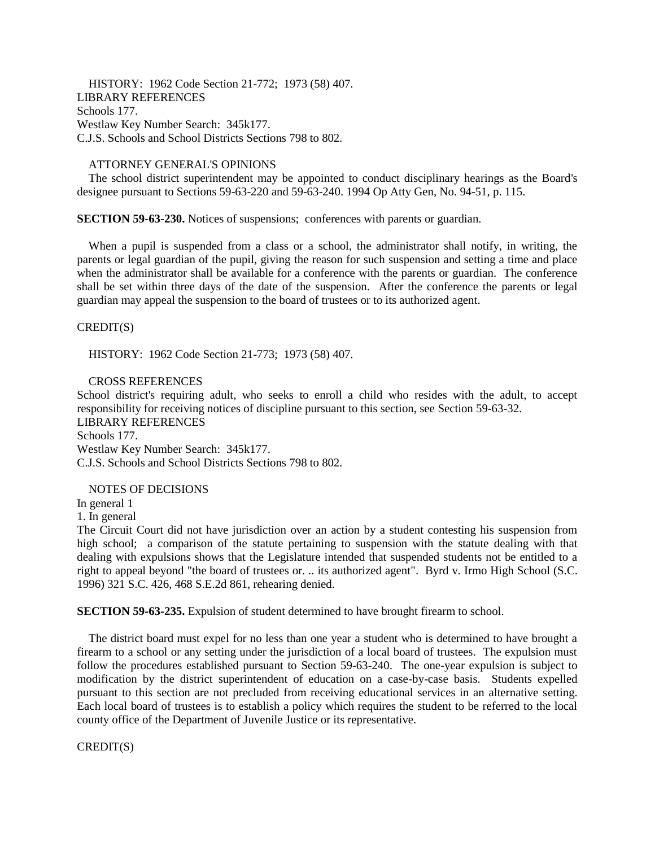HISTORY: 1962 Code Section 21-772; 1973 (58) 407. LIBRARY REFERENCES Schools 177. Westlaw Key Number Search: 345k177. C.J.S. Schools and School Districts Sections 798 to 802.

## ATTORNEY GENERAL'S OPINIONS

The school district superintendent may be appointed to conduct disciplinary hearings as the Board's designee pursuant to Sections 59-63-220 and 59-63-240. 1994 Op Atty Gen, No. 94-51, p. 115.

**SECTION 59-63-230.** Notices of suspensions; conferences with parents or guardian.

When a pupil is suspended from a class or a school, the administrator shall notify, in writing, the parents or legal guardian of the pupil, giving the reason for such suspension and setting a time and place when the administrator shall be available for a conference with the parents or guardian. The conference shall be set within three days of the date of the suspension. After the conference the parents or legal guardian may appeal the suspension to the board of trustees or to its authorized agent.

# CREDIT(S)

HISTORY: 1962 Code Section 21-773; 1973 (58) 407.

# CROSS REFERENCES

School district's requiring adult, who seeks to enroll a child who resides with the adult, to accept responsibility for receiving notices of discipline pursuant to this section, see Section 59-63-32.

LIBRARY REFERENCES Schools 177. Westlaw Key Number Search: 345k177. C.J.S. Schools and School Districts Sections 798 to 802.

## NOTES OF DECISIONS

In general 1

1. In general

The Circuit Court did not have jurisdiction over an action by a student contesting his suspension from high school; a comparison of the statute pertaining to suspension with the statute dealing with that dealing with expulsions shows that the Legislature intended that suspended students not be entitled to a right to appeal beyond "the board of trustees or. .. its authorized agent". Byrd v. Irmo High School (S.C. 1996) 321 S.C. 426, 468 S.E.2d 861, rehearing denied.

**SECTION 59-63-235.** Expulsion of student determined to have brought firearm to school.

The district board must expel for no less than one year a student who is determined to have brought a firearm to a school or any setting under the jurisdiction of a local board of trustees. The expulsion must follow the procedures established pursuant to Section 59-63-240. The one-year expulsion is subject to modification by the district superintendent of education on a case-by-case basis. Students expelled pursuant to this section are not precluded from receiving educational services in an alternative setting. Each local board of trustees is to establish a policy which requires the student to be referred to the local county office of the Department of Juvenile Justice or its representative.

CREDIT(S)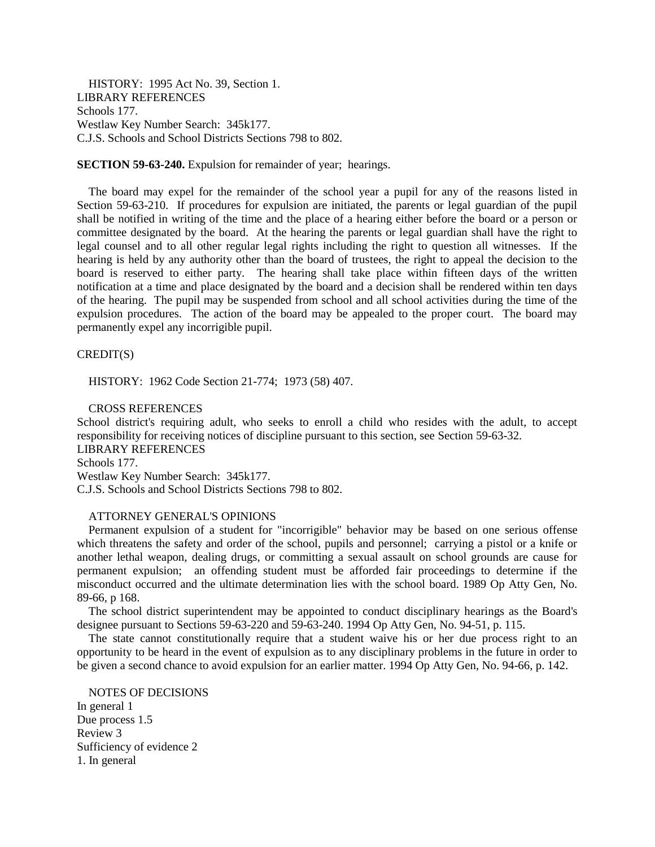HISTORY: 1995 Act No. 39, Section 1. LIBRARY REFERENCES Schools 177. Westlaw Key Number Search: 345k177. C.J.S. Schools and School Districts Sections 798 to 802.

**SECTION 59-63-240.** Expulsion for remainder of year; hearings.

The board may expel for the remainder of the school year a pupil for any of the reasons listed in Section 59-63-210. If procedures for expulsion are initiated, the parents or legal guardian of the pupil shall be notified in writing of the time and the place of a hearing either before the board or a person or committee designated by the board. At the hearing the parents or legal guardian shall have the right to legal counsel and to all other regular legal rights including the right to question all witnesses. If the hearing is held by any authority other than the board of trustees, the right to appeal the decision to the board is reserved to either party. The hearing shall take place within fifteen days of the written notification at a time and place designated by the board and a decision shall be rendered within ten days of the hearing. The pupil may be suspended from school and all school activities during the time of the expulsion procedures. The action of the board may be appealed to the proper court. The board may permanently expel any incorrigible pupil.

CREDIT(S)

HISTORY: 1962 Code Section 21-774; 1973 (58) 407.

CROSS REFERENCES

School district's requiring adult, who seeks to enroll a child who resides with the adult, to accept responsibility for receiving notices of discipline pursuant to this section, see Section 59-63-32. LIBRARY REFERENCES

Schools 177.

Westlaw Key Number Search: 345k177. C.J.S. Schools and School Districts Sections 798 to 802.

#### ATTORNEY GENERAL'S OPINIONS

Permanent expulsion of a student for "incorrigible" behavior may be based on one serious offense which threatens the safety and order of the school, pupils and personnel; carrying a pistol or a knife or another lethal weapon, dealing drugs, or committing a sexual assault on school grounds are cause for permanent expulsion; an offending student must be afforded fair proceedings to determine if the misconduct occurred and the ultimate determination lies with the school board. 1989 Op Atty Gen, No. 89-66, p 168.

The school district superintendent may be appointed to conduct disciplinary hearings as the Board's designee pursuant to Sections 59-63-220 and 59-63-240. 1994 Op Atty Gen, No. 94-51, p. 115.

The state cannot constitutionally require that a student waive his or her due process right to an opportunity to be heard in the event of expulsion as to any disciplinary problems in the future in order to be given a second chance to avoid expulsion for an earlier matter. 1994 Op Atty Gen, No. 94-66, p. 142.

NOTES OF DECISIONS In general 1 Due process 1.5 Review 3 Sufficiency of evidence 2 1. In general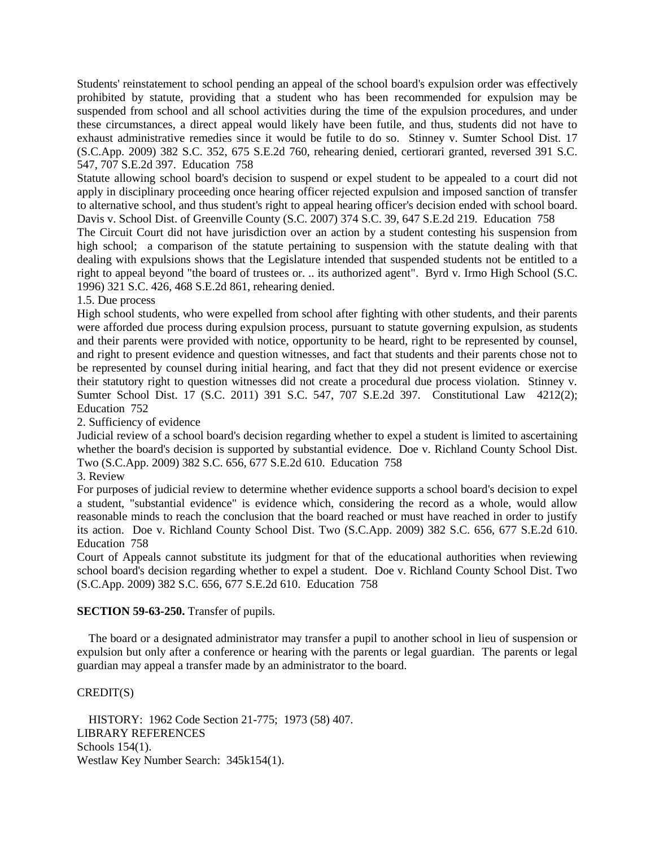Students' reinstatement to school pending an appeal of the school board's expulsion order was effectively prohibited by statute, providing that a student who has been recommended for expulsion may be suspended from school and all school activities during the time of the expulsion procedures, and under these circumstances, a direct appeal would likely have been futile, and thus, students did not have to exhaust administrative remedies since it would be futile to do so. Stinney v. Sumter School Dist. 17 (S.C.App. 2009) 382 S.C. 352, 675 S.E.2d 760, rehearing denied, certiorari granted, reversed 391 S.C. 547, 707 S.E.2d 397. Education 758

Statute allowing school board's decision to suspend or expel student to be appealed to a court did not apply in disciplinary proceeding once hearing officer rejected expulsion and imposed sanction of transfer to alternative school, and thus student's right to appeal hearing officer's decision ended with school board. Davis v. School Dist. of Greenville County (S.C. 2007) 374 S.C. 39, 647 S.E.2d 219. Education 758

The Circuit Court did not have jurisdiction over an action by a student contesting his suspension from high school; a comparison of the statute pertaining to suspension with the statute dealing with that dealing with expulsions shows that the Legislature intended that suspended students not be entitled to a right to appeal beyond "the board of trustees or. .. its authorized agent". Byrd v. Irmo High School (S.C. 1996) 321 S.C. 426, 468 S.E.2d 861, rehearing denied.

1.5. Due process

High school students, who were expelled from school after fighting with other students, and their parents were afforded due process during expulsion process, pursuant to statute governing expulsion, as students and their parents were provided with notice, opportunity to be heard, right to be represented by counsel, and right to present evidence and question witnesses, and fact that students and their parents chose not to be represented by counsel during initial hearing, and fact that they did not present evidence or exercise their statutory right to question witnesses did not create a procedural due process violation. Stinney v. Sumter School Dist. 17 (S.C. 2011) 391 S.C. 547, 707 S.E.2d 397. Constitutional Law 4212(2); Education 752

2. Sufficiency of evidence

Judicial review of a school board's decision regarding whether to expel a student is limited to ascertaining whether the board's decision is supported by substantial evidence. Doe v. Richland County School Dist. Two (S.C.App. 2009) 382 S.C. 656, 677 S.E.2d 610. Education 758

3. Review

For purposes of judicial review to determine whether evidence supports a school board's decision to expel a student, "substantial evidence" is evidence which, considering the record as a whole, would allow reasonable minds to reach the conclusion that the board reached or must have reached in order to justify its action. Doe v. Richland County School Dist. Two (S.C.App. 2009) 382 S.C. 656, 677 S.E.2d 610. Education 758

Court of Appeals cannot substitute its judgment for that of the educational authorities when reviewing school board's decision regarding whether to expel a student. Doe v. Richland County School Dist. Two (S.C.App. 2009) 382 S.C. 656, 677 S.E.2d 610. Education 758

# **SECTION 59-63-250.** Transfer of pupils.

The board or a designated administrator may transfer a pupil to another school in lieu of suspension or expulsion but only after a conference or hearing with the parents or legal guardian. The parents or legal guardian may appeal a transfer made by an administrator to the board.

# CREDIT(S)

HISTORY: 1962 Code Section 21-775; 1973 (58) 407. LIBRARY REFERENCES Schools 154(1). Westlaw Key Number Search: 345k154(1).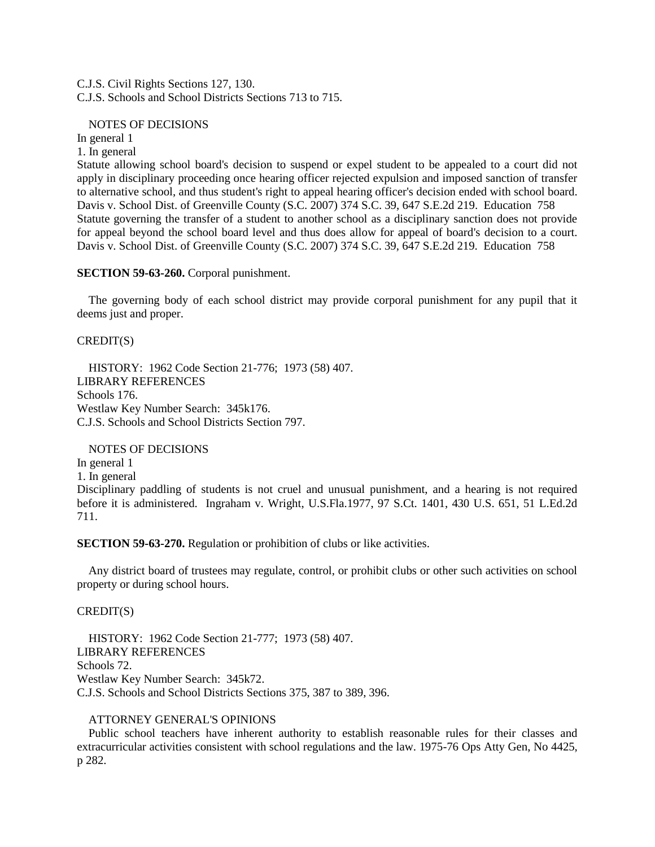C.J.S. Civil Rights Sections 127, 130. C.J.S. Schools and School Districts Sections 713 to 715.

## NOTES OF DECISIONS

In general 1

1. In general

Statute allowing school board's decision to suspend or expel student to be appealed to a court did not apply in disciplinary proceeding once hearing officer rejected expulsion and imposed sanction of transfer to alternative school, and thus student's right to appeal hearing officer's decision ended with school board. Davis v. School Dist. of Greenville County (S.C. 2007) 374 S.C. 39, 647 S.E.2d 219. Education 758 Statute governing the transfer of a student to another school as a disciplinary sanction does not provide for appeal beyond the school board level and thus does allow for appeal of board's decision to a court. Davis v. School Dist. of Greenville County (S.C. 2007) 374 S.C. 39, 647 S.E.2d 219. Education 758

## **SECTION 59-63-260.** Corporal punishment.

The governing body of each school district may provide corporal punishment for any pupil that it deems just and proper.

## CREDIT(S)

HISTORY: 1962 Code Section 21-776; 1973 (58) 407. LIBRARY REFERENCES Schools 176. Westlaw Key Number Search: 345k176. C.J.S. Schools and School Districts Section 797.

## NOTES OF DECISIONS

In general 1 1. In general

Disciplinary paddling of students is not cruel and unusual punishment, and a hearing is not required before it is administered. Ingraham v. Wright, U.S.Fla.1977, 97 S.Ct. 1401, 430 U.S. 651, 51 L.Ed.2d 711.

**SECTION 59-63-270.** Regulation or prohibition of clubs or like activities.

Any district board of trustees may regulate, control, or prohibit clubs or other such activities on school property or during school hours.

## CREDIT(S)

HISTORY: 1962 Code Section 21-777; 1973 (58) 407. LIBRARY REFERENCES Schools 72. Westlaw Key Number Search: 345k72. C.J.S. Schools and School Districts Sections 375, 387 to 389, 396.

#### ATTORNEY GENERAL'S OPINIONS

Public school teachers have inherent authority to establish reasonable rules for their classes and extracurricular activities consistent with school regulations and the law. 1975-76 Ops Atty Gen, No 4425, p 282.